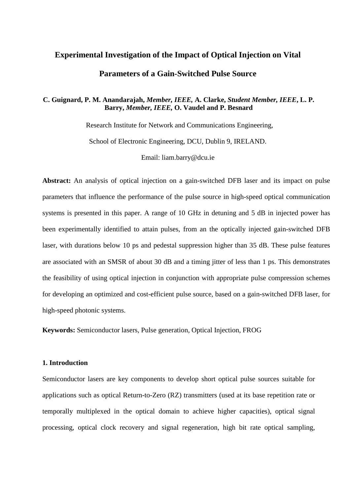# **Experimental Investigation of the Impact of Optical Injection on Vital Parameters of a Gain-Switched Pulse Source**

## **C. Guignard, P. M. Anandarajah,** *Member, IEEE,* **A. Clarke,** *Student Member, IEEE***, L. P. Barry,** *Member, IEEE,* **O. Vaudel and P. Besnard**

Research Institute for Network and Communications Engineering,

School of Electronic Engineering, DCU, Dublin 9, IRELAND.

Email: liam.barry@dcu.ie

**Abstract:** An analysis of optical injection on a gain-switched DFB laser and its impact on pulse parameters that influence the performance of the pulse source in high-speed optical communication systems is presented in this paper. A range of 10 GHz in detuning and 5 dB in injected power has been experimentally identified to attain pulses, from an the optically injected gain-switched DFB laser, with durations below 10 ps and pedestal suppression higher than 35 dB. These pulse features are associated with an SMSR of about 30 dB and a timing jitter of less than 1 ps. This demonstrates the feasibility of using optical injection in conjunction with appropriate pulse compression schemes for developing an optimized and cost-efficient pulse source, based on a gain-switched DFB laser, for high-speed photonic systems.

**Keywords:** Semiconductor lasers, Pulse generation, Optical Injection, FROG

#### **1. Introduction**

Semiconductor lasers are key components to develop short optical pulse sources suitable for applications such as optical Return-to-Zero (RZ) transmitters (used at its base repetition rate or temporally multiplexed in the optical domain to achieve higher capacities), optical signal processing, optical clock recovery and signal regeneration, high bit rate optical sampling,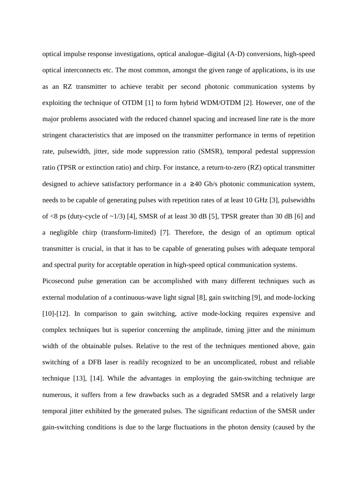optical impulse response investigations, optical analogue–digital (A-D) conversions, high-speed optical interconnects etc. The most common, amongst the given range of applications, is its use as an RZ transmitter to achieve terabit per second photonic communication systems by exploiting the technique of OTDM [1] to form hybrid WDM/OTDM [2]. However, one of the major problems associated with the reduced channel spacing and increased line rate is the more stringent characteristics that are imposed on the transmitter performance in terms of repetition rate, pulsewidth, jitter, side mode suppression ratio (SMSR), temporal pedestal suppression ratio (TPSR or extinction ratio) and chirp. For instance, a return-to-zero (RZ) optical transmitter designed to achieve satisfactory performance in a  $\geq$ 40 Gb/s photonic communication system, needs to be capable of generating pulses with repetition rates of at least 10 GHz [3], pulsewidths of  $\langle 8 \rangle$  ps (duty-cycle of  $\sim 1/3$ ) [4], SMSR of at least 30 dB [5], TPSR greater than 30 dB [6] and a negligible chirp (transform-limited) [7]. Therefore, the design of an optimum optical transmitter is crucial, in that it has to be capable of generating pulses with adequate temporal and spectral purity for acceptable operation in high-speed optical communication systems.

Picosecond pulse generation can be accomplished with many different techniques such as external modulation of a continuous-wave light signal [8], gain switching [9], and mode-locking [10]-[12]. In comparison to gain switching, active mode-locking requires expensive and complex techniques but is superior concerning the amplitude, timing jitter and the minimum width of the obtainable pulses. Relative to the rest of the techniques mentioned above, gain switching of a DFB laser is readily recognized to be an uncomplicated, robust and reliable technique [13], [14]. While the advantages in employing the gain-switching technique are numerous, it suffers from a few drawbacks such as a degraded SMSR and a relatively large temporal jitter exhibited by the generated pulses. The significant reduction of the SMSR under gain-switching conditions is due to the large fluctuations in the photon density (caused by the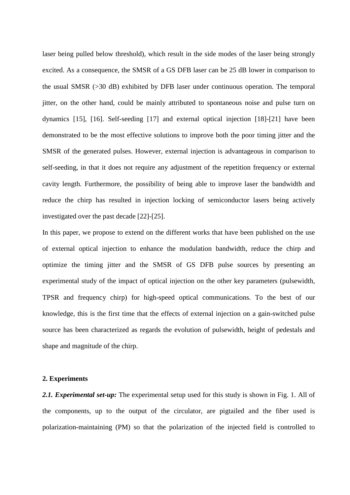laser being pulled below threshold), which result in the side modes of the laser being strongly excited. As a consequence, the SMSR of a GS DFB laser can be 25 dB lower in comparison to the usual SMSR (>30 dB) exhibited by DFB laser under continuous operation. The temporal jitter, on the other hand, could be mainly attributed to spontaneous noise and pulse turn on dynamics [15], [16]. Self-seeding [17] and external optical injection [18]-[21] have been demonstrated to be the most effective solutions to improve both the poor timing jitter and the SMSR of the generated pulses. However, external injection is advantageous in comparison to self-seeding, in that it does not require any adjustment of the repetition frequency or external cavity length. Furthermore, the possibility of being able to improve laser the bandwidth and reduce the chirp has resulted in injection locking of semiconductor lasers being actively investigated over the past decade [22]-[25].

In this paper, we propose to extend on the different works that have been published on the use of external optical injection to enhance the modulation bandwidth, reduce the chirp and optimize the timing jitter and the SMSR of GS DFB pulse sources by presenting an experimental study of the impact of optical injection on the other key parameters (pulsewidth, TPSR and frequency chirp) for high-speed optical communications. To the best of our knowledge, this is the first time that the effects of external injection on a gain-switched pulse source has been characterized as regards the evolution of pulsewidth, height of pedestals and shape and magnitude of the chirp.

#### **2. Experiments**

*2.1. Experimental set-up:* The experimental setup used for this study is shown in Fig. 1. All of the components, up to the output of the circulator, are pigtailed and the fiber used is polarization-maintaining (PM) so that the polarization of the injected field is controlled to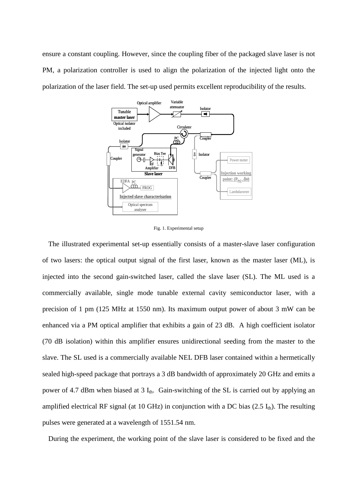ensure a constant coupling. However, since the coupling fiber of the packaged slave laser is not PM, a polarization controller is used to align the polarization of the injected light onto the polarization of the laser field. The set-up used permits excellent reproducibility of the results.



Fig. 1. Experimental setup

The illustrated experimental set-up essentially consists of a master-slave laser configuration of two lasers: the optical output signal of the first laser, known as the master laser (ML), is injected into the second gain-switched laser, called the slave laser (SL). The ML used is a commercially available, single mode tunable external cavity semiconductor laser, with a precision of 1 pm (125 MHz at 1550 nm). Its maximum output power of about 3 mW can be enhanced via a PM optical amplifier that exhibits a gain of 23 dB. A high coefficient isolator (70 dB isolation) within this amplifier ensures unidirectional seeding from the master to the slave. The SL used is a commercially available NEL DFB laser contained within a hermetically sealed high-speed package that portrays a 3 dB bandwidth of approximately 20 GHz and emits a power of 4.7 dBm when biased at  $3 I_{th}$ . Gain-switching of the SL is carried out by applying an amplified electrical RF signal (at 10 GHz) in conjunction with a DC bias  $(2.5 I_{th})$ . The resulting pulses were generated at a wavelength of 1551.54 nm.

During the experiment, the working point of the slave laser is considered to be fixed and the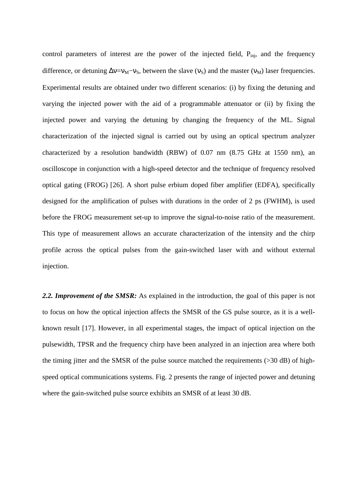control parameters of interest are the power of the injected field, P<sub>inj</sub>, and the frequency difference, or detuning  $\Delta v = v_M - v_S$ , between the slave ( $v_S$ ) and the master ( $v_M$ ) laser frequencies. Experimental results are obtained under two different scenarios: (i) by fixing the detuning and varying the injected power with the aid of a programmable attenuator or (ii) by fixing the injected power and varying the detuning by changing the frequency of the ML. Signal characterization of the injected signal is carried out by using an optical spectrum analyzer characterized by a resolution bandwidth (RBW) of 0.07 nm (8.75 GHz at 1550 nm), an oscilloscope in conjunction with a high-speed detector and the technique of frequency resolved optical gating (FROG) [26]. A short pulse erbium doped fiber amplifier (EDFA), specifically designed for the amplification of pulses with durations in the order of 2 ps (FWHM), is used before the FROG measurement set-up to improve the signal-to-noise ratio of the measurement. This type of measurement allows an accurate characterization of the intensity and the chirp profile across the optical pulses from the gain-switched laser with and without external injection.

*2.2. Improvement of the SMSR:* As explained in the introduction, the goal of this paper is not to focus on how the optical injection affects the SMSR of the GS pulse source, as it is a wellknown result [17]. However, in all experimental stages, the impact of optical injection on the pulsewidth, TPSR and the frequency chirp have been analyzed in an injection area where both the timing jitter and the SMSR of the pulse source matched the requirements (>30 dB) of highspeed optical communications systems. Fig. 2 presents the range of injected power and detuning where the gain-switched pulse source exhibits an SMSR of at least 30 dB.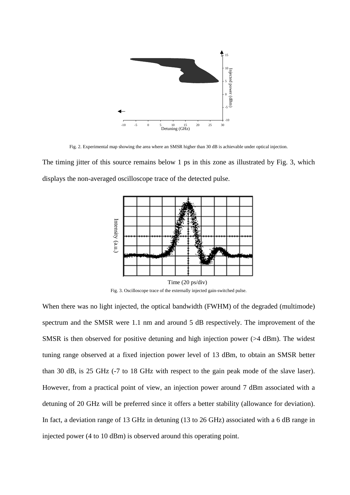

Fig. 2. Experimental map showing the area where an SMSR higher than 30 dB is achievable under optical injection.

The timing jitter of this source remains below 1 ps in this zone as illustrated by Fig. 3, which displays the non-averaged oscilloscope trace of the detected pulse.



Fig. 3. Oscilloscope trace of the externally injected gain-switched pulse.

When there was no light injected, the optical bandwidth (FWHM) of the degraded (multimode) spectrum and the SMSR were 1.1 nm and around 5 dB respectively. The improvement of the SMSR is then observed for positive detuning and high injection power (>4 dBm). The widest tuning range observed at a fixed injection power level of 13 dBm, to obtain an SMSR better than 30 dB, is 25 GHz (-7 to 18 GHz with respect to the gain peak mode of the slave laser). However, from a practical point of view, an injection power around 7 dBm associated with a detuning of 20 GHz will be preferred since it offers a better stability (allowance for deviation). In fact, a deviation range of 13 GHz in detuning (13 to 26 GHz) associated with a 6 dB range in Time (20 ps/div)<br>
Fig. 3. Oscilloscope trace of the externally injected gain-switched pull<br>
Time (20 ps/div)<br>
Time (20 ps/div)<br>
When there was no light injected, the optical bandwidth (FWHM) of<br>
spectrum and the SMSR were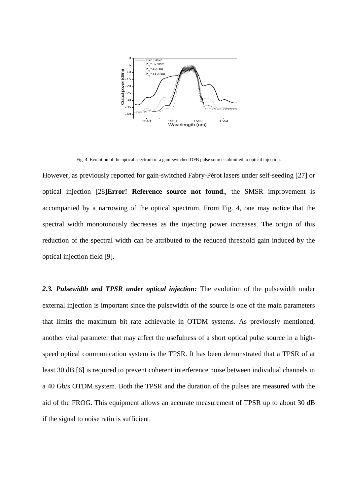

Fig. 4. Evolution of the optical spectrum of a gain-switched DFB pulse source submitted to optical injection.

However, as previously reported for gain-switched Fabry-Pérot lasers under self-seeding [27] or optical injection [28]**Error! Reference source not found.**, the SMSR improvement is accompanied by a narrowing of the optical spectrum. From Fig. 4, one may notice that the spectral width monotonously decreases as the injecting power increases. The origin of this reduction of the spectral width can be attributed to the reduced threshold gain induced by the optical injection field [9].

*2.3. Pulsewidth and TPSR under optical injection:* The evolution of the pulsewidth under external injection is important since the pulsewidth of the source is one of the main parameters that limits the maximum bit rate achievable in OTDM systems. As previously mentioned, another vital parameter that may affect the usefulness of a short optical pulse source in a highspeed optical communication system is the TPSR. It has been demonstrated that a TPSR of at least 30 dB [6] is required to prevent coherent interference noise between individual channels in a 40 Gb/s OTDM system. Both the TPSR and the duration of the pulses are measured with the aid of the FROG. This equipment allows an accurate measurement of TPSR up to about 30 dB if the signal to noise ratio is sufficient.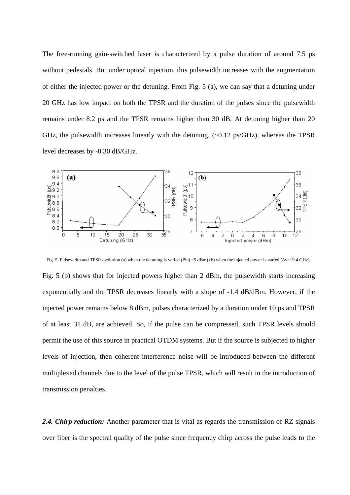The free-running gain-switched laser is characterized by a pulse duration of around 7.5 ps without pedestals. But under optical injection, this pulsewidth increases with the augmentation of either the injected power or the detuning. From Fig. 5 (a), we can say that a detuning under 20 GHz has low impact on both the TPSR and the duration of the pulses since the pulsewidth remains under 8.2 ps and the TPSR remains higher than 30 dB. At detuning higher than 20 GHz, the pulsewidth increases linearly with the detuning, (~0.12 ps/GHz), whereas the TPSR level decreases by -0.30 dB/GHz.



Fig. 5. Pulsewidth and TPSR evolution (a) when the detuning is varied (Pinj =5 dBm) (b) when the injected power is varied ( $\Delta v=19.4$  GHz).

Fig. 5 (b) shows that for injected powers higher than 2 dBm, the pulsewidth starts increasing exponentially and the TPSR decreases linearly with a slope of -1.4 dB/dBm. However, if the injected power remains below 8 dBm, pulses characterized by a duration under 10 ps and TPSR of at least 31 dB, are achieved. So, if the pulse can be compressed, such TPSR levels should permit the use of this source in practical OTDM systems. But if the source is subjected to higher levels of injection, then coherent interference noise will be introduced between the different multiplexed channels due to the level of the pulse TPSR, which will result in the introduction of transmission penalties.

2.4. *Chirp reduction:* Another parameter that is vital as regards the transmission of RZ signals over fiber is the spectral quality of the pulse since frequency chirp across the pulse leads to the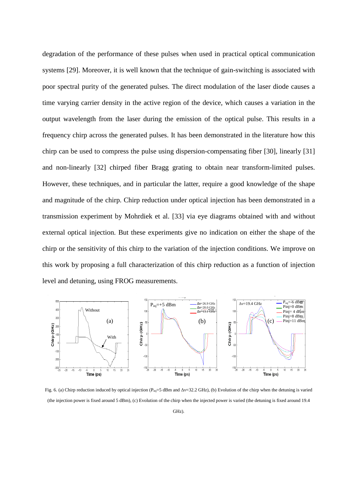degradation of the performance of these pulses when used in practical optical communication systems [29]. Moreover, it is well known that the technique of gain-switching is associated with poor spectral purity of the generated pulses. The direct modulation of the laser diode causes a time varying carrier density in the active region of the device, which causes a variation in the output wavelength from the laser during the emission of the optical pulse. This results in a frequency chirp across the generated pulses. It has been demonstrated in the literature how this chirp can be used to compress the pulse using dispersion-compensating fiber [30], linearly [31] and non-linearly [32] chirped fiber Bragg grating to obtain near transform-limited pulses. However, these techniques, and in particular the latter, require a good knowledge of the shape and magnitude of the chirp. Chirp reduction under optical injection has been demonstrated in a transmission experiment by Mohrdiek et al. [33] via eye diagrams obtained with and without external optical injection. But these experiments give no indication on either the shape of the chirp or the sensitivity of this chirp to the variation of the injection conditions. We improve on this work by proposing a full characterization of this chirp reduction as a function of injection level and detuning, using FROG measurements.



Fig. 6. (a) Chirp reduction induced by optical injection (P<sub>inj</sub>=5 dBm and Δν=32.2 GHz), (b) Evolution of the chirp when the detuning is varied (the injection power is fixed around 5 dBm), (c) Evolution of the chirp when the injected power is varied (the detuning is fixed around 19.4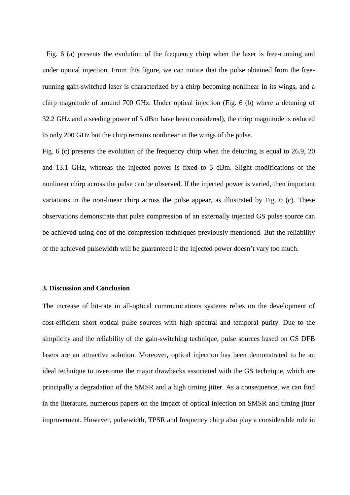Fig. 6 (a) presents the evolution of the frequency chirp when the laser is free-running and under optical injection. From this figure, we can notice that the pulse obtained from the freerunning gain-switched laser is characterized by a chirp becoming nonlinear in its wings, and a chirp magnitude of around 700 GHz. Under optical injection (Fig. 6 (b) where a detuning of 32.2 GHz and a seeding power of 5 dBm have been considered), the chirp magnitude is reduced to only 200 GHz but the chirp remains nonlinear in the wings of the pulse.

Fig. 6 (c) presents the evolution of the frequency chirp when the detuning is equal to 26.9, 20 and 13.1 GHz, whereas the injected power is fixed to 5 dBm. Slight modifications of the nonlinear chirp across the pulse can be observed. If the injected power is varied, then important variations in the non-linear chirp across the pulse appear, as illustrated by Fig. 6 (c). These observations demonstrate that pulse compression of an externally injected GS pulse source can be achieved using one of the compression techniques previously mentioned. But the reliability of the achieved pulsewidth will be guaranteed if the injected power doesn't vary too much.

### **3. Discussion and Conclusion**

The increase of bit-rate in all-optical communications systems relies on the development of cost-efficient short optical pulse sources with high spectral and temporal purity. Due to the simplicity and the reliability of the gain-switching technique, pulse sources based on GS DFB lasers are an attractive solution. Moreover, optical injection has been demonstrated to be an ideal technique to overcome the major drawbacks associated with the GS technique, which are principally a degradation of the SMSR and a high timing jitter. As a consequence, we can find in the literature, numerous papers on the impact of optical injection on SMSR and timing jitter improvement. However, pulsewidth, TPSR and frequency chirp also play a considerable role in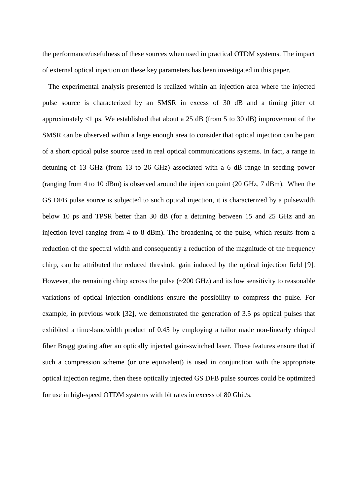the performance/usefulness of these sources when used in practical OTDM systems. The impact of external optical injection on these key parameters has been investigated in this paper.

The experimental analysis presented is realized within an injection area where the injected pulse source is characterized by an SMSR in excess of 30 dB and a timing jitter of approximately  $\langle$ 1 ps. We established that about a 25 dB (from 5 to 30 dB) improvement of the SMSR can be observed within a large enough area to consider that optical injection can be part of a short optical pulse source used in real optical communications systems. In fact, a range in detuning of 13 GHz (from 13 to 26 GHz) associated with a 6 dB range in seeding power (ranging from 4 to 10 dBm) is observed around the injection point (20 GHz, 7 dBm). When the GS DFB pulse source is subjected to such optical injection, it is characterized by a pulsewidth below 10 ps and TPSR better than 30 dB (for a detuning between 15 and 25 GHz and an injection level ranging from 4 to 8 dBm). The broadening of the pulse, which results from a reduction of the spectral width and consequently a reduction of the magnitude of the frequency chirp, can be attributed the reduced threshold gain induced by the optical injection field [9]. However, the remaining chirp across the pulse (~200 GHz) and its low sensitivity to reasonable variations of optical injection conditions ensure the possibility to compress the pulse. For example, in previous work [32], we demonstrated the generation of 3.5 ps optical pulses that exhibited a time-bandwidth product of 0.45 by employing a tailor made non-linearly chirped fiber Bragg grating after an optically injected gain-switched laser. These features ensure that if such a compression scheme (or one equivalent) is used in conjunction with the appropriate optical injection regime, then these optically injected GS DFB pulse sources could be optimized for use in high-speed OTDM systems with bit rates in excess of 80 Gbit/s.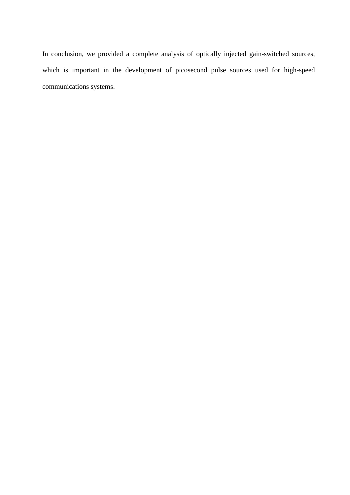In conclusion, we provided a complete analysis of optically injected gain-switched sources, which is important in the development of picosecond pulse sources used for high-speed communications systems.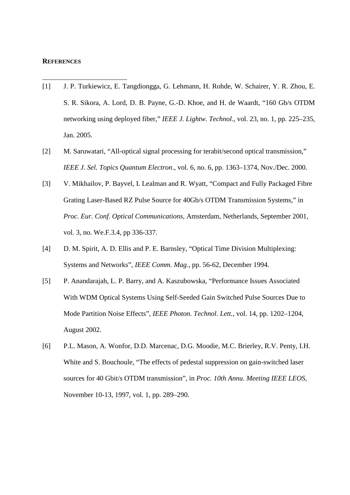#### **REFERENCES**

- [1] J. P. Turkiewicz, E. Tangdiongga, G. Lehmann, H. Rohde, W. Schairer, Y. R. Zhou, E. S. R. Sikora, A. Lord, D. B. Payne, G.-D. Khoe, and H. de Waardt, "160 Gb/s OTDM networking using deployed fiber," *IEEE J. Lightw. Technol*., vol. 23, no. 1, pp. 225–235, Jan. 2005.
- [2] M. Saruwatari, "All-optical signal processing for terabit/second optical transmission," *IEEE J. Sel. Topics Quantum Electron*., vol. 6, no. 6, pp. 1363–1374, Nov./Dec. 2000.
- [3] V. Mikhailov, P. Bayvel, I. Lealman and R. Wyatt, "Compact and Fully Packaged Fibre Grating Laser-Based RZ Pulse Source for 40Gb/s OTDM Transmission Systems," in *Proc. Eur. Conf. Optical Communications*, Amsterdam, Netherlands, September 2001, vol. 3, no. We.F.3.4, pp 336-337.
- [4] D. M. Spirit, A. D. Ellis and P. E. Barnsley, "Optical Time Division Multiplexing: Systems and Networks", *IEEE Comm. Mag.*, pp. 56-62, December 1994.
- [5] P. Anandarajah, L. P. Barry, and A. Kaszubowska, "Performance Issues Associated With WDM Optical Systems Using Self-Seeded Gain Switched Pulse Sources Due to Mode Partition Noise Effects", *IEEE Photon. Technol. Lett.*, vol. 14, pp. 1202–1204, August 2002.
- [6] P.L. Mason, A. Wonfor, D.D. Marcenac, D.G. Moodie, M.C. Brierley, R.V. Penty, I.H. White and S. Bouchoule, "The effects of pedestal suppression on gain-switched laser sources for 40 Gbit/s OTDM transmission", in *Proc. 10th Annu. Meeting IEEE LEOS,* November 10-13, 1997, vol. 1, pp. 289–290.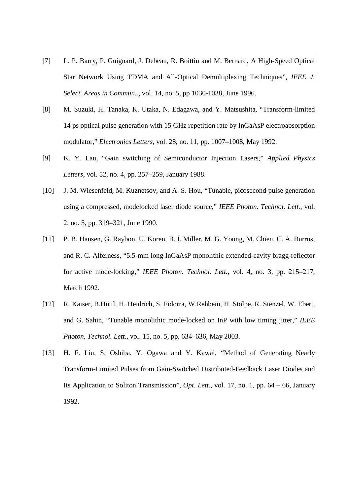[7] L. P. Barry, P. Guignard, J. Debeau, R. Boittin and M. Bernard, A High-Speed Optical Star Network Using TDMA and All-Optical Demultiplexing Techniques", *IEEE J. Select. Areas in Commun..*, vol. 14, no. 5, pp 1030-1038, June 1996.

- [8] M. Suzuki, H. Tanaka, K. Utaka, N. Edagawa, and Y. Matsushita, "Transform-limited 14 ps optical pulse generation with 15 GHz repetition rate by InGaAsP electroabsorption modulator," *Electronics Letters*, vol. 28, no. 11, pp. 1007–1008, May 1992.
- [9] K. Y. Lau, "Gain switching of Semiconductor Injection Lasers," *Applied Physics Letters*, vol. 52, no. 4, pp. 257–259, January 1988.
- [10] J. M. Wiesenfeld, M. Kuznetsov, and A. S. Hou, "Tunable, picosecond pulse generation using a compressed, modelocked laser diode source," *IEEE Photon. Technol. Lett.*, vol. 2, no. 5, pp. 319–321, June 1990.
- [11] P. B. Hansen, G. Raybon, U. Koren, B. I. Miller, M. G. Young, M. Chien, C. A. Burrus, and R. C. Alferness, "5.5-mm long InGaAsP monolithic extended-cavity bragg-reflector for active mode-locking," *IEEE Photon. Technol. Lett.*, vol. 4, no. 3, pp. 215–217, March 1992.
- [12] R. Kaiser, B.Huttl, H. Heidrich, S. Fidorra, W.Rehbein, H. Stolpe, R. Stenzel, W. Ebert, and G. Sahin, "Tunable monolithic mode-locked on InP with low timing jitter," *IEEE Photon. Technol. Lett.*, vol. 15, no. 5, pp. 634–636, May 2003.
- [13] H. F. Liu, S. Oshiba, Y. Ogawa and Y. Kawai, "Method of Generating Nearly Transform-Limited Pulses from Gain-Switched Distributed-Feedback Laser Diodes and Its Application to Soliton Transmission", *Opt. Lett*., vol. 17, no. 1, pp. 64 – 66, January 1992.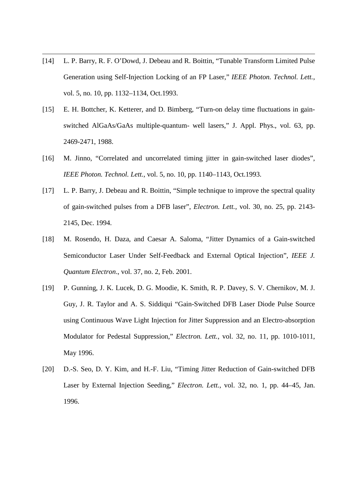[14] L. P. Barry, R. F. O'Dowd, J. Debeau and R. Boittin, "Tunable Transform Limited Pulse Generation using Self-Injection Locking of an FP Laser," *IEEE Photon. Technol. Lett.*, vol. 5, no. 10, pp. 1132–1134, Oct.1993.

- [15] E. H. Bottcher, K. Ketterer, and D. Bimberg, "Turn-on delay time fluctuations in gainswitched AlGaAs/GaAs multiple-quantum- well lasers," J. Appl. Phys., vol. 63, pp. 2469-2471, 1988.
- [16] M. Jinno, "Correlated and uncorrelated timing jitter in gain-switched laser diodes", *IEEE Photon. Technol. Lett.*, vol. 5, no. 10, pp. 1140–1143, Oct.1993.
- [17] L. P. Barry, J. Debeau and R. Boittin, "Simple technique to improve the spectral quality of gain-switched pulses from a DFB laser", *Electron. Lett.*, vol. 30, no. 25, pp. 2143- 2145, Dec. 1994.
- [18] M. Rosendo, H. Daza, and Caesar A. Saloma, "Jitter Dynamics of a Gain-switched Semiconductor Laser Under Self-Feedback and External Optical Injection", *IEEE J. Quantum Electron*., vol. 37, no. 2, Feb. 2001.
- [19] P. Gunning, J. K. Lucek, D. G. Moodie, K. Smith, R. P. Davey, S. V. Chernikov, M. J. Guy, J. R. Taylor and A. S. Siddiqui "Gain-Switched DFB Laser Diode Pulse Source using Continuous Wave Light Injection for Jitter Suppression and an Electro-absorption Modulator for Pedestal Suppression," *Electron. Lett.*, vol. 32, no. 11, pp. 1010-1011, May 1996.
- [20] D.-S. Seo, D. Y. Kim, and H.-F. Liu, "Timing Jitter Reduction of Gain-switched DFB Laser by External Injection Seeding," *Electron. Lett.*, vol. 32, no. 1, pp. 44–45, Jan. 1996.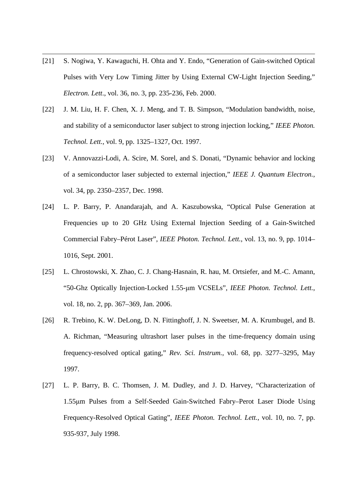[21] S. Nogiwa, Y. Kawaguchi, H. Ohta and Y. Endo, "Generation of Gain-switched Optical Pulses with Very Low Timing Jitter by Using External CW-Light Injection Seeding," *Electron. Lett*., vol. 36, no. 3, pp. 235-236, Feb. 2000.

- [22] J. M. Liu, H. F. Chen, X. J. Meng, and T. B. Simpson, "Modulation bandwidth, noise, and stability of a semiconductor laser subject to strong injection locking," *IEEE Photon. Technol. Lett.*, vol. 9, pp. 1325–1327, Oct. 1997.
- [23] V. Annovazzi-Lodi, A. Scire, M. Sorel, and S. Donati, "Dynamic behavior and locking of a semiconductor laser subjected to external injection," *IEEE J. Quantum Electron.*, vol. 34, pp. 2350–2357, Dec. 1998.
- [24] L. P. Barry, P. Anandarajah, and A. Kaszubowska, "Optical Pulse Generation at Frequencies up to 20 GHz Using External Injection Seeding of a Gain-Switched Commercial Fabry–Pérot Laser", *IEEE Photon. Technol. Lett.*, vol. 13, no. 9, pp. 1014– 1016, Sept. 2001.
- [25] L. Chrostowski, X. Zhao, C. J. Chang-Hasnain, R. hau, M. Ortsiefer, and M.-C. Amann, "50-Ghz Optically Injection-Locked 1.55-µm VCSELs", *IEEE Photon. Technol. Lett.*, vol. 18, no. 2, pp. 367–369, Jan. 2006.
- [26] R. Trebino, K. W. DeLong, D. N. Fittinghoff, J. N. Sweetser, M. A. Krumbugel, and B. A. Richman, "Measuring ultrashort laser pulses in the time-frequency domain using frequency-resolved optical gating," *Rev. Sci. Instrum.*, vol. 68, pp. 3277–3295, May 1997.
- [27] L. P. Barry, B. C. Thomsen, J. M. Dudley, and J. D. Harvey, "Characterization of 1.55µm Pulses from a Self-Seeded Gain-Switched Fabry–Perot Laser Diode Using Frequency-Resolved Optical Gating", *IEEE Photon. Technol. Lett.*, vol. 10, no. 7, pp. 935-937, July 1998.